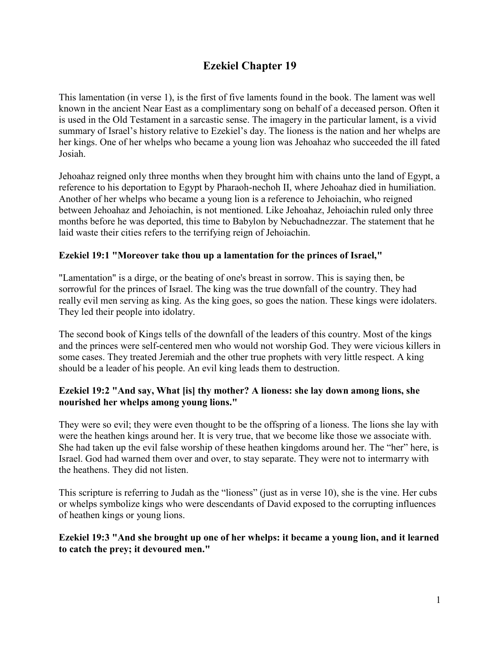# **Ezekiel Chapter 19**

This lamentation (in verse 1), is the first of five laments found in the book. The lament was well known in the ancient Near East as a complimentary song on behalf of a deceased person. Often it is used in the Old Testament in a sarcastic sense. The imagery in the particular lament, is a vivid summary of Israel's history relative to Ezekiel's day. The lioness is the nation and her whelps are her kings. One of her whelps who became a young lion was Jehoahaz who succeeded the ill fated Josiah.

Jehoahaz reigned only three months when they brought him with chains unto the land of Egypt, a reference to his deportation to Egypt by Pharaoh-nechoh II, where Jehoahaz died in humiliation. Another of her whelps who became a young lion is a reference to Jehoiachin, who reigned between Jehoahaz and Jehoiachin, is not mentioned. Like Jehoahaz, Jehoiachin ruled only three months before he was deported, this time to Babylon by Nebuchadnezzar. The statement that he laid waste their cities refers to the terrifying reign of Jehoiachin.

## **Ezekiel 19:1 "Moreover take thou up a lamentation for the princes of Israel,"**

"Lamentation" is a dirge, or the beating of one's breast in sorrow. This is saying then, be sorrowful for the princes of Israel. The king was the true downfall of the country. They had really evil men serving as king. As the king goes, so goes the nation. These kings were idolaters. They led their people into idolatry.

The second book of Kings tells of the downfall of the leaders of this country. Most of the kings and the princes were self-centered men who would not worship God. They were vicious killers in some cases. They treated Jeremiah and the other true prophets with very little respect. A king should be a leader of his people. An evil king leads them to destruction.

## **Ezekiel 19:2 "And say, What [is] thy mother? A lioness: she lay down among lions, she nourished her whelps among young lions."**

They were so evil; they were even thought to be the offspring of a lioness. The lions she lay with were the heathen kings around her. It is very true, that we become like those we associate with. She had taken up the evil false worship of these heathen kingdoms around her. The "her" here, is Israel. God had warned them over and over, to stay separate. They were not to intermarry with the heathens. They did not listen.

This scripture is referring to Judah as the "lioness" (just as in verse 10), she is the vine. Her cubs or whelps symbolize kings who were descendants of David exposed to the corrupting influences of heathen kings or young lions.

## **Ezekiel 19:3 "And she brought up one of her whelps: it became a young lion, and it learned to catch the prey; it devoured men."**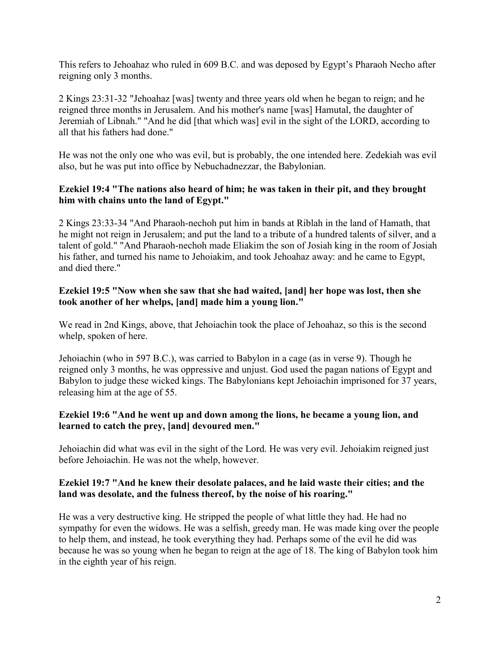This refers to Jehoahaz who ruled in 609 B.C. and was deposed by Egypt's Pharaoh Necho after reigning only 3 months.

2 Kings 23:31-32 "Jehoahaz [was] twenty and three years old when he began to reign; and he reigned three months in Jerusalem. And his mother's name [was] Hamutal, the daughter of Jeremiah of Libnah." "And he did [that which was] evil in the sight of the LORD, according to all that his fathers had done."

He was not the only one who was evil, but is probably, the one intended here. Zedekiah was evil also, but he was put into office by Nebuchadnezzar, the Babylonian.

## **Ezekiel 19:4 "The nations also heard of him; he was taken in their pit, and they brought him with chains unto the land of Egypt."**

2 Kings 23:33-34 "And Pharaoh-nechoh put him in bands at Riblah in the land of Hamath, that he might not reign in Jerusalem; and put the land to a tribute of a hundred talents of silver, and a talent of gold." "And Pharaoh-nechoh made Eliakim the son of Josiah king in the room of Josiah his father, and turned his name to Jehoiakim, and took Jehoahaz away: and he came to Egypt, and died there."

## **Ezekiel 19:5 "Now when she saw that she had waited, [and] her hope was lost, then she took another of her whelps, [and] made him a young lion."**

We read in 2nd Kings, above, that Jehoiachin took the place of Jehoahaz, so this is the second whelp, spoken of here.

Jehoiachin (who in 597 B.C.), was carried to Babylon in a cage (as in verse 9). Though he reigned only 3 months, he was oppressive and unjust. God used the pagan nations of Egypt and Babylon to judge these wicked kings. The Babylonians kept Jehoiachin imprisoned for 37 years, releasing him at the age of 55.

## **Ezekiel 19:6 "And he went up and down among the lions, he became a young lion, and learned to catch the prey, [and] devoured men."**

Jehoiachin did what was evil in the sight of the Lord. He was very evil. Jehoiakim reigned just before Jehoiachin. He was not the whelp, however.

## **Ezekiel 19:7 "And he knew their desolate palaces, and he laid waste their cities; and the land was desolate, and the fulness thereof, by the noise of his roaring."**

He was a very destructive king. He stripped the people of what little they had. He had no sympathy for even the widows. He was a selfish, greedy man. He was made king over the people to help them, and instead, he took everything they had. Perhaps some of the evil he did was because he was so young when he began to reign at the age of 18. The king of Babylon took him in the eighth year of his reign.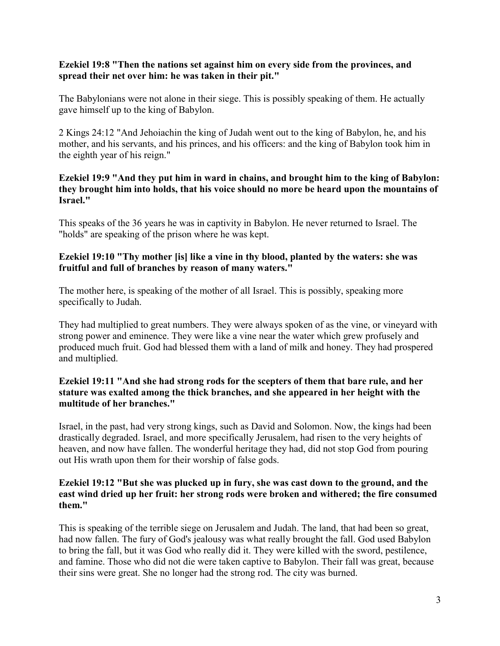#### **Ezekiel 19:8 "Then the nations set against him on every side from the provinces, and spread their net over him: he was taken in their pit."**

The Babylonians were not alone in their siege. This is possibly speaking of them. He actually gave himself up to the king of Babylon.

2 Kings 24:12 "And Jehoiachin the king of Judah went out to the king of Babylon, he, and his mother, and his servants, and his princes, and his officers: and the king of Babylon took him in the eighth year of his reign."

## **Ezekiel 19:9 "And they put him in ward in chains, and brought him to the king of Babylon: they brought him into holds, that his voice should no more be heard upon the mountains of Israel."**

This speaks of the 36 years he was in captivity in Babylon. He never returned to Israel. The "holds" are speaking of the prison where he was kept.

#### **Ezekiel 19:10 "Thy mother [is] like a vine in thy blood, planted by the waters: she was fruitful and full of branches by reason of many waters."**

The mother here, is speaking of the mother of all Israel. This is possibly, speaking more specifically to Judah.

They had multiplied to great numbers. They were always spoken of as the vine, or vineyard with strong power and eminence. They were like a vine near the water which grew profusely and produced much fruit. God had blessed them with a land of milk and honey. They had prospered and multiplied.

## **Ezekiel 19:11 "And she had strong rods for the scepters of them that bare rule, and her stature was exalted among the thick branches, and she appeared in her height with the multitude of her branches."**

Israel, in the past, had very strong kings, such as David and Solomon. Now, the kings had been drastically degraded. Israel, and more specifically Jerusalem, had risen to the very heights of heaven, and now have fallen. The wonderful heritage they had, did not stop God from pouring out His wrath upon them for their worship of false gods.

### **Ezekiel 19:12 "But she was plucked up in fury, she was cast down to the ground, and the east wind dried up her fruit: her strong rods were broken and withered; the fire consumed them."**

This is speaking of the terrible siege on Jerusalem and Judah. The land, that had been so great, had now fallen. The fury of God's jealousy was what really brought the fall. God used Babylon to bring the fall, but it was God who really did it. They were killed with the sword, pestilence, and famine. Those who did not die were taken captive to Babylon. Their fall was great, because their sins were great. She no longer had the strong rod. The city was burned.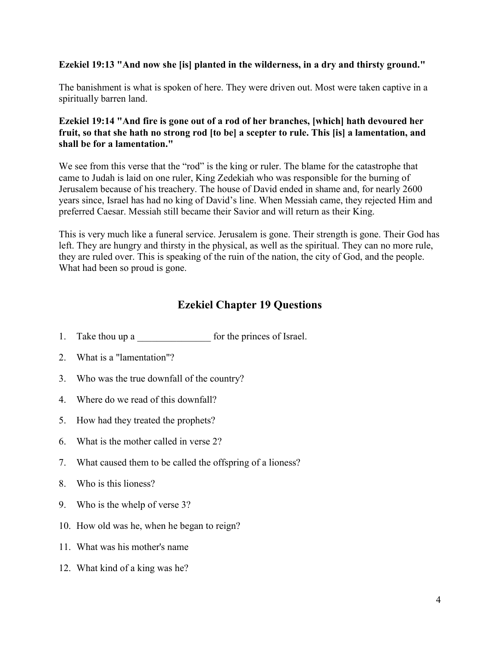## **Ezekiel 19:13 "And now she [is] planted in the wilderness, in a dry and thirsty ground."**

The banishment is what is spoken of here. They were driven out. Most were taken captive in a spiritually barren land.

## **Ezekiel 19:14 "And fire is gone out of a rod of her branches, [which] hath devoured her fruit, so that she hath no strong rod [to be] a scepter to rule. This [is] a lamentation, and shall be for a lamentation."**

We see from this verse that the "rod" is the king or ruler. The blame for the catastrophe that came to Judah is laid on one ruler, King Zedekiah who was responsible for the burning of Jerusalem because of his treachery. The house of David ended in shame and, for nearly 2600 years since, Israel has had no king of David's line. When Messiah came, they rejected Him and preferred Caesar. Messiah still became their Savior and will return as their King.

This is very much like a funeral service. Jerusalem is gone. Their strength is gone. Their God has left. They are hungry and thirsty in the physical, as well as the spiritual. They can no more rule, they are ruled over. This is speaking of the ruin of the nation, the city of God, and the people. What had been so proud is gone.

## **Ezekiel Chapter 19 Questions**

- 1. Take thou up a set of the princes of Israel.
- 2. What is a "lamentation"?
- 3. Who was the true downfall of the country?
- 4. Where do we read of this downfall?
- 5. How had they treated the prophets?
- 6. What is the mother called in verse 2?
- 7. What caused them to be called the offspring of a lioness?
- 8. Who is this lioness?
- 9. Who is the whelp of verse 3?
- 10. How old was he, when he began to reign?
- 11. What was his mother's name
- 12. What kind of a king was he?